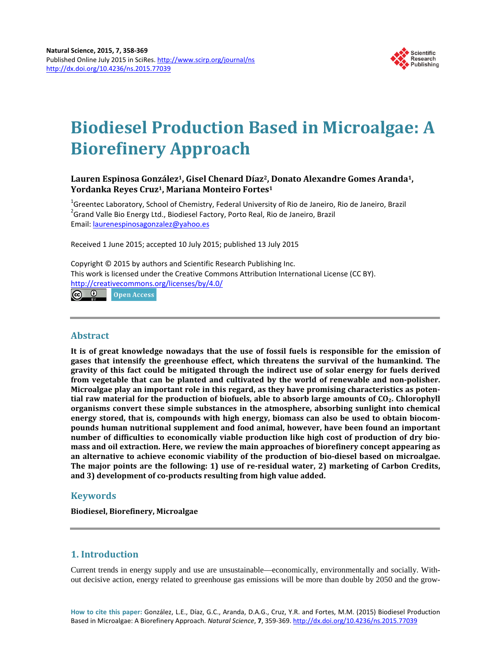

# **Biodiesel Production Based in Microalgae: A Biorefinery Approach**

# **Lauren Espinosa González1, Gisel Chenard Díaz2, Donato Alexandre Gomes Aranda1, Yordanka Reyes Cruz1, Mariana Monteiro Fortes1**

<sup>1</sup>Greentec Laboratory, School of Chemistry, Federal University of Rio de Janeiro, Rio de Janeiro, Brazil <sup>2</sup>Grand Valle Bio Energy Ltd., Biodiesel Factory, Porto Real, Rio de Janeiro, Brazil Email: [laurenespinosagonzalez@yahoo.es](mailto:laurenespinosagonzalez@yahoo.es)

Received 1 June 2015; accepted 10 July 2015; published 13 July 2015

Copyright © 2015 by authors and Scientific Research Publishing Inc. This work is licensed under the Creative Commons Attribution International License (CC BY). <http://creativecommons.org/licenses/by/4.0/>

 $\circ$   $\circ$ Open Access

## **Abstract**

**It is of great knowledge nowadays that the use of fossil fuels is responsible for the emission of gases that intensify the greenhouse effect, which threatens the survival of the humankind. The gravity of this fact could be mitigated through the indirect use of solar energy for fuels derived from vegetable that can be planted and cultivated by the world of renewable and non-polisher. Microalgae play an important role in this regard, as they have promising characteristics as potential raw material for the production of biofuels, able to absorb large amounts of CO2. Chlorophyll organisms convert these simple substances in the atmosphere, absorbing sunlight into chemical energy stored, that is, compounds with high energy, biomass can also be used to obtain biocompounds human nutritional supplement and food animal, however, have been found an important number of difficulties to economically viable production like high cost of production of dry biomass and oil extraction. Here, we review the main approaches of biorefinery concept appearing as an alternative to achieve economic viability of the production of bio-diesel based on microalgae. The major points are the following: 1) use of re-residual water, 2) marketing of Carbon Credits, and 3) development of co-products resulting from high value added.**

# **Keywords**

**Biodiesel, Biorefinery, Microalgae**

# **1. Introduction**

Current trends in energy supply and use are unsustainable—economically, environmentally and socially. Without decisive action, energy related to greenhouse gas emissions will be more than double by 2050 and the grow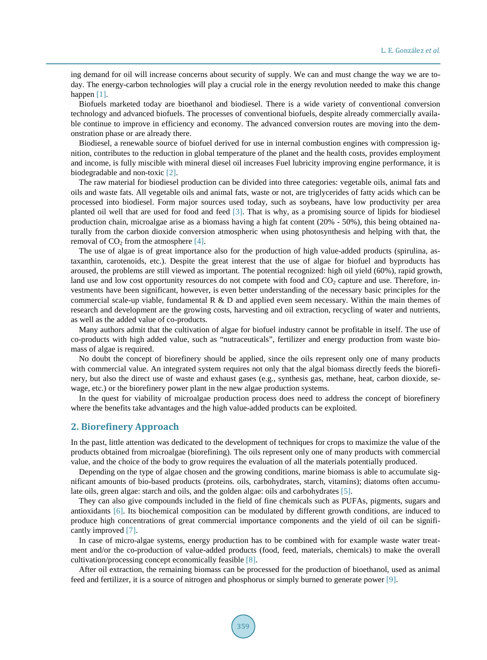ing demand for oil will increase concerns about security of supply. We can and must change the way we are today. The energy-carbon technologies will play a crucial role in the energy revolution needed to make this change happen [\[1\].](#page-9-0)

Biofuels marketed today are bioethanol and biodiesel. There is a wide variety of conventional conversion technology and advanced biofuels. The processes of conventional biofuels, despite already commercially available continue to improve in efficiency and economy. The advanced conversion routes are moving into the demonstration phase or are already there.

Biodiesel, a renewable source of biofuel derived for use in internal combustion engines with compression ignition, contributes to the reduction in global temperature of the planet and the health costs, provides employment and income, is fully miscible with mineral diesel oil increases Fuel lubricity improving engine performance, it is biodegradable and non-toxic [\[2\].](#page-9-1)

The raw material for biodiesel production can be divided into three categories: vegetable oils, animal fats and oils and waste fats. All vegetable oils and animal fats, waste or not, are triglycerides of fatty acids which can be processed into biodiesel. Form major sources used today, such as soybeans, have low productivity per area planted oil well that are used for food and feed [\[3\].](#page-9-2) That is why, as a promising source of lipids for biodiesel production chain, microalgae arise as a biomass having a high fat content (20% - 50%), this being obtained naturally from the carbon dioxide conversion atmospheric when using photosynthesis and helping with that, the removal of  $CO<sub>2</sub>$  from the atmosphere [\[4\].](#page-9-3)

The use of algae is of great importance also for the production of high value-added products (spirulina, astaxanthin, carotenoids, etc.). Despite the great interest that the use of algae for biofuel and byproducts has aroused, the problems are still viewed as important. The potential recognized: high oil yield (60%), rapid growth, land use and low cost opportunity resources do not compete with food and  $CO<sub>2</sub>$  capture and use. Therefore, investments have been significant, however, is even better understanding of the necessary basic principles for the commercial scale-up viable, fundamental R & D and applied even seem necessary. Within the main themes of research and development are the growing costs, harvesting and oil extraction, recycling of water and nutrients, as well as the added value of co-products.

Many authors admit that the cultivation of algae for biofuel industry cannot be profitable in itself. The use of co-products with high added value, such as "nutraceuticals", fertilizer and energy production from waste biomass of algae is required.

No doubt the concept of biorefinery should be applied, since the oils represent only one of many products with commercial value. An integrated system requires not only that the algal biomass directly feeds the biorefinery, but also the direct use of waste and exhaust gases (e.g., synthesis gas, methane, heat, carbon dioxide, sewage, etc.) or the biorefinery power plant in the new algae production systems.

In the quest for viability of microalgae production process does need to address the concept of biorefinery where the benefits take advantages and the high value-added products can be exploited.

## **2. Biorefinery Approach**

In the past, little attention was dedicated to the development of techniques for crops to maximize the value of the products obtained from microalgae (biorefining). The oils represent only one of many products with commercial value, and the choice of the body to grow requires the evaluation of all the materials potentially produced.

Depending on the type of algae chosen and the growing conditions, marine biomass is able to accumulate significant amounts of bio-based products (proteins. oils, carbohydrates, starch, vitamins); diatoms often accumulate oils, green algae: starch and oils, and the golden algae: oils and carbohydrates [\[5\].](#page-9-4)

They can also give compounds included in the field of fine chemicals such as PUFAs, pigments, sugars and antioxidants [\[6\].](#page-9-5) Its biochemical composition can be modulated by different growth conditions, are induced to produce high concentrations of great commercial importance components and the yield of oil can be significantly improved [\[7\].](#page-9-6)

In case of micro-algae systems, energy production has to be combined with for example waste water treatment and/or the co-production of value-added products (food, feed, materials, chemicals) to make the overall cultivation/processing concept economically feasible [\[8\].](#page-9-7)

After oil extraction, the remaining biomass can be processed for the production of bioethanol, used as animal feed and fertilizer, it is a source of nitrogen and phosphorus or simply burned to generate power [\[9\].](#page-9-8)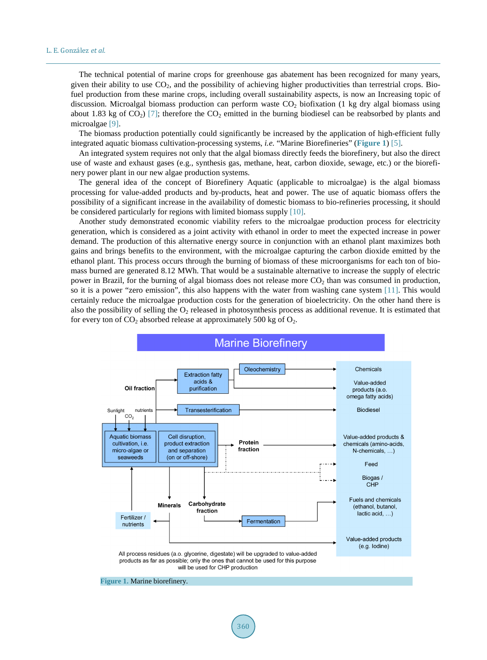The technical potential of marine crops for greenhouse gas abatement has been recognized for many years, given their ability to use  $CO<sub>2</sub>$ , and the possibility of achieving higher productivities than terrestrial crops. Biofuel production from these marine crops, including overall sustainability aspects, is now an Increasing topic of discussion. Microalgal biomass production can perform waste  $CO<sub>2</sub>$  biofixation (1 kg dry algal biomass using about 1.83 kg of  $CO<sub>2</sub>$  [\[7\];](#page-9-6) therefore the  $CO<sub>2</sub>$  emitted in the burning biodiesel can be reabsorbed by plants and microalgae [\[9\].](#page-9-8)

The biomass production potentially could significantly be increased by the application of high-efficient fully integrated aquatic biomass cultivation-processing systems, *i.e.* "Marine Biorefineries" (**[Figure 1](#page-2-0)**) [\[5\].](#page-9-4)

An integrated system requires not only that the algal biomass directly feeds the biorefinery, but also the direct use of waste and exhaust gases (e.g., synthesis gas, methane, heat, carbon dioxide, sewage, etc.) or the biorefinery power plant in our new algae production systems.

The general idea of the concept of Biorefinery Aquatic (applicable to microalgae) is the algal biomass processing for value-added products and by-products, heat and power. The use of aquatic biomass offers the possibility of a significant increase in the availability of domestic biomass to bio-refineries processing, it should be considered particularly for regions with limited biomass supply [\[10\].](#page-9-9)

Another study demonstrated economic viability refers to the microalgae production process for electricity generation, which is considered as a joint activity with ethanol in order to meet the expected increase in power demand. The production of this alternative energy source in conjunction with an ethanol plant maximizes both gains and brings benefits to the environment, with the microalgae capturing the carbon dioxide emitted by the ethanol plant. This process occurs through the burning of biomass of these microorganisms for each ton of biomass burned are generated 8.12 MWh. That would be a sustainable alternative to increase the supply of electric power in Brazil, for the burning of algal biomass does not release more  $CO<sub>2</sub>$  than was consumed in production, so it is a power "zero emission", this also happens with the water from washing cane system [\[11\].](#page-9-10) This would certainly reduce the microalgae production costs for the generation of bioelectricity. On the other hand there is also the possibility of selling the  $O<sub>2</sub>$  released in photosynthesis process as additional revenue. It is estimated that for every ton of  $CO_2$  absorbed release at approximately 500 kg of  $O_2$ .

<span id="page-2-0"></span>

360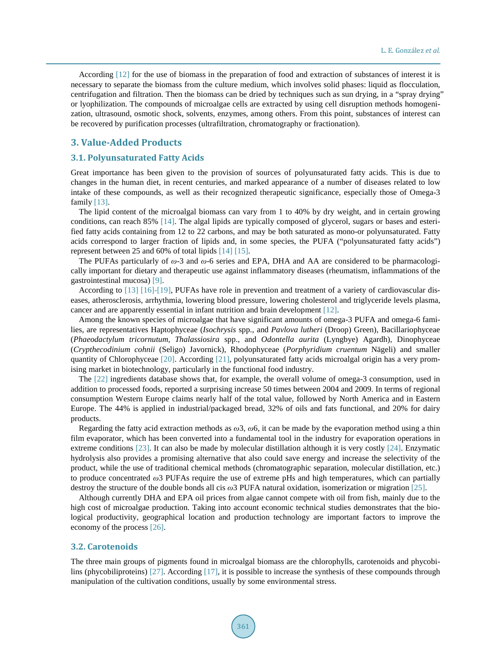According [\[12\]](#page-9-11) for the use of biomass in the preparation of food and extraction of substances of interest it is necessary to separate the biomass from the culture medium, which involves solid phases: liquid as flocculation, centrifugation and filtration. Then the biomass can be dried by techniques such as sun drying, in a "spray drying" or lyophilization. The compounds of microalgae cells are extracted by using cell disruption methods homogenization, ultrasound, osmotic shock, solvents, enzymes, among others. From this point, substances of interest can be recovered by purification processes (ultrafiltration, chromatography or fractionation).

## **3. Value-Added Products**

#### **3.1. Polyunsaturated Fatty Acids**

Great importance has been given to the provision of sources of polyunsaturated fatty acids. This is due to changes in the human diet, in recent centuries, and marked appearance of a number of diseases related to low intake of these compounds, as well as their recognized therapeutic significance, especially those of Omega-3 family [\[13\].](#page-9-12)

The lipid content of the microalgal biomass can vary from 1 to 40% by dry weight, and in certain growing conditions, can reach 85% [\[14\].](#page-9-13) The algal lipids are typically composed of glycerol, sugars or bases and esterified fatty acids containing from 12 to 22 carbons, and may be both saturated as mono-or polyunsaturated. Fatty acids correspond to larger fraction of lipids and, in some species, the PUFA ("polyunsaturated fatty acids") represent between 25 and 60% of total lipids [\[14\]](#page-9-13) [\[15\].](#page-9-14)

The PUFAs particularly of *ω*-3 and *ω*-6 series and EPA, DHA and AA are considered to be pharmacologically important for dietary and therapeutic use against inflammatory diseases (rheumatism, inflammations of the gastrointestinal mucosa) [\[9\].](#page-9-8)

According to [\[13\]](#page-9-12) [\[16\]-](#page-9-15)[\[19\],](#page-9-16) PUFAs have role in prevention and treatment of a variety of cardiovascular diseases, atherosclerosis, arrhythmia, lowering blood pressure, lowering cholesterol and triglyceride levels plasma, cancer and are apparently essential in infant nutrition and brain development [\[12\].](#page-9-11)

Among the known species of microalgae that have significant amounts of omega-3 PUFA and omega-6 families, are representatives Haptophyceae (*Isochrysis* spp., and *Pavlova lutheri* (Droop) Green), Bacillariophyceae (*Phaeodactylum tricornutum, Thalassiosira* spp., and *Odontella aurita* (Lyngbye) Agardh), Dinophyceae (*Crypthecodinium cohnii* (Seligo) Javornick), Rhodophyceae (*Porphyridium cruentum* Nägeli) and smaller quantity of Chlorophyceae [\[20\].](#page-9-17) According [\[21\],](#page-9-18) polyunsaturated fatty acids microalgal origin has a very promising market in biotechnology, particularly in the functional food industry.

The [\[22\]](#page-9-19) ingredients database shows that, for example, the overall volume of omega-3 consumption, used in addition to processed foods, reported a surprising increase 50 times between 2004 and 2009. In terms of regional consumption Western Europe claims nearly half of the total value, followed by North America and in Eastern Europe. The 44% is applied in industrial/packaged bread, 32% of oils and fats functional, and 20% for dairy products.

Regarding the fatty acid extraction methods as *ω*3, *ω*6, it can be made by the evaporation method using a thin film evaporator, which has been converted into a fundamental tool in the industry for evaporation operations in extreme conditions [\[23\].](#page-9-20) It can also be made by molecular distillation although it is very costly [\[24\].](#page-9-21) Enzymatic hydrolysis also provides a promising alternative that also could save energy and increase the selectivity of the product, while the use of traditional chemical methods (chromatographic separation, molecular distillation, etc.) to produce concentrated *ω*3 PUFAs require the use of extreme pHs and high temperatures, which can partially destroy the structure of the double bonds all cis *ω*3 PUFA natural oxidation, isomerization or migration [\[25\].](#page-10-0)

Although currently DHA and EPA oil prices from algae cannot compete with oil from fish, mainly due to the high cost of microalgae production. Taking into account economic technical studies demonstrates that the biological productivity, geographical location and production technology are important factors to improve the economy of the process [\[26\].](#page-10-1)

#### **3.2. Carotenoids**

The three main groups of pigments found in microalgal biomass are the chlorophylls, carotenoids and phycobilins (phycobiliproteins) [\[27\].](#page-10-2) According [\[17\],](#page-9-22) it is possible to increase the synthesis of these compounds through manipulation of the cultivation conditions, usually by some environmental stress.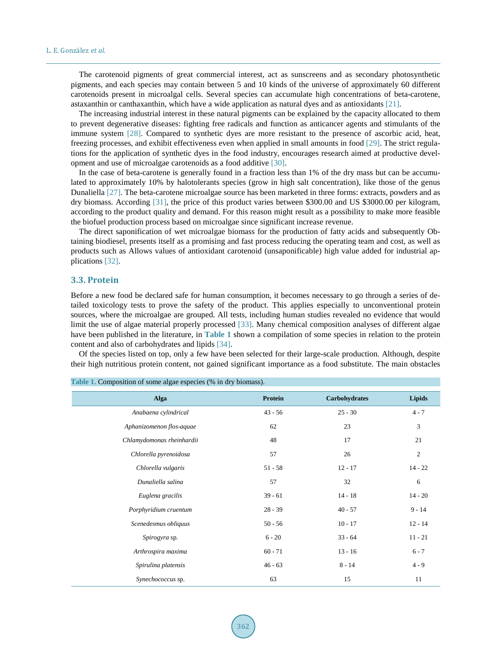The carotenoid pigments of great commercial interest, act as sunscreens and as secondary photosynthetic pigments, and each species may contain between 5 and 10 kinds of the universe of approximately 60 different carotenoids present in microalgal cells. Several species can accumulate high concentrations of beta-carotene, astaxanthin or canthaxanthin, which have a wide application as natural dyes and as antioxidants [\[21\].](#page-9-18)

The increasing industrial interest in these natural pigments can be explained by the capacity allocated to them to prevent degenerative diseases: fighting free radicals and function as anticancer agents and stimulants of the immune system [\[28\].](#page-10-3) Compared to synthetic dyes are more resistant to the presence of ascorbic acid, heat, freezing processes, and exhibit effectiveness even when applied in small amounts in food [\[29\].](#page-10-4) The strict regulations for the application of synthetic dyes in the food industry, encourages research aimed at productive development and use of microalgae carotenoids as a food additive [\[30\].](#page-10-5)

In the case of beta-carotene is generally found in a fraction less than 1% of the dry mass but can be accumulated to approximately 10% by halotolerants species (grow in high salt concentration), like those of the genus Dunaliella [\[27\].](#page-10-2) The beta-carotene microalgae source has been marketed in three forms: extracts, powders and as dry biomass. According [\[31\],](#page-10-6) the price of this product varies between \$300.00 and US \$3000.00 per kilogram, according to the product quality and demand. For this reason might result as a possibility to make more feasible the biofuel production process based on microalgae since significant increase revenue.

The direct saponification of wet microalgae biomass for the production of fatty acids and subsequently Obtaining biodiesel, presents itself as a promising and fast process reducing the operating team and cost, as well as products such as Allows values of antioxidant carotenoid (unsaponificable) high value added for industrial applications [\[32\].](#page-10-7)

#### **3.3. Protein**

Before a new food be declared safe for human consumption, it becomes necessary to go through a series of detailed toxicology tests to prove the safety of the product. This applies especially to unconventional protein sources, where the microalgae are grouped. All tests, including human studies revealed no evidence that would limit the use of algae material properly processed [\[33\].](#page-10-8) Many chemical composition analyses of different algae have been published in the literature, in **[Table 1](#page-4-0)** shown a compilation of some species in relation to the protein content and also of carbohydrates and lipids [\[34\].](#page-10-9)

Of the species listed on top, only a few have been selected for their large-scale production. Although, despite their high nutritious protein content, not gained significant importance as a food substitute. The main obstacles

| <b>Alga</b>               | Protein   | Carbohydrates | <b>Lipids</b>  |  |
|---------------------------|-----------|---------------|----------------|--|
| Anabaena cylindrical      | $43 - 56$ | $25 - 30$     | $4 - 7$        |  |
| Aphanizomenon flos-aquae  | 62        | 23            | $\mathfrak z$  |  |
| Chlamydomonas rheinhardii | 48        | 17            | 21             |  |
| Chlorella pyrenoidosa     | 57        | 26            | $\mathfrak{2}$ |  |
| Chlorella vulgaris        | $51 - 58$ | $12 - 17$     | $14 - 22$      |  |
| Dunaliella salina         | 57        | 32            | 6              |  |
| Euglena gracilis          | $39 - 61$ | $14 - 18$     | $14 - 20$      |  |
| Porphyridium cruentum     | $28 - 39$ | $40 - 57$     | $9 - 14$       |  |
| Scenedesmus obliquus      | $50 - 56$ | $10 - 17$     | $12 - 14$      |  |
| Spirogyra sp.             | $6 - 20$  | $33 - 64$     | $11 - 21$      |  |
| Arthrospira maxima        | $60 - 71$ | $13 - 16$     | $6 - 7$        |  |
| Spirulina platensis       | $46 - 63$ | $8 - 14$      | $4 - 9$        |  |
| Synechococcus sp.         | 63        | 15            | 11             |  |

<span id="page-4-0"></span>**Table 1.** Composition of some algae especies (% in dry biomass).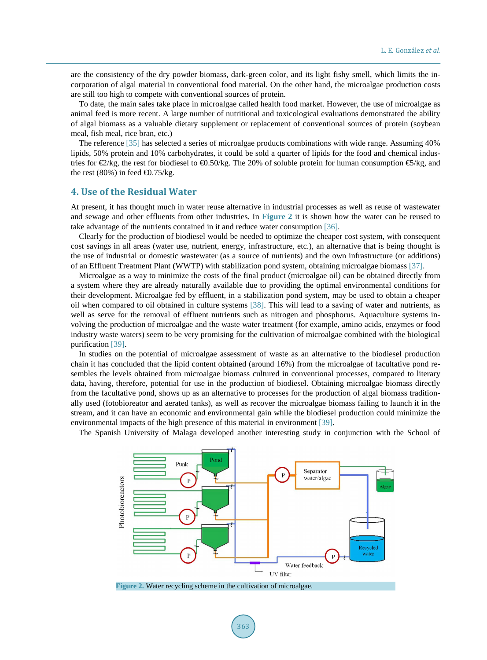are the consistency of the dry powder biomass, dark-green color, and its light fishy smell, which limits the incorporation of algal material in conventional food material. On the other hand, the microalgae production costs are still too high to compete with conventional sources of protein.

To date, the main sales take place in microalgae called health food market. However, the use of microalgae as animal feed is more recent. A large number of nutritional and toxicological evaluations demonstrated the ability of algal biomass as a valuable dietary supplement or replacement of conventional sources of protein (soybean meal, fish meal, rice bran, etc.)

The reference [\[35\]](#page-10-10) has selected a series of microalgae products combinations with wide range. Assuming 40% lipids, 50% protein and 10% carbohydrates, it could be sold a quarter of lipids for the food and chemical industries for  $\bigoplus$ /kg, the rest for biodiesel to  $\bigoplus$ .50/kg. The 20% of soluble protein for human consumption  $\bigoplus$ /kg, and the rest (80%) in feed  $\bigoplus$ .75/kg.

#### **4. Use of the Residual Water**

At present, it has thought much in water reuse alternative in industrial processes as well as reuse of wastewater and sewage and other effluents from other industries. In **[Figure 2](#page-5-0)** it is shown how the water can be reused to take advantage of the nutrients contained in it and reduce water consumption [\[36\].](#page-10-11)

Clearly for the production of biodiesel would be needed to optimize the cheaper cost system, with consequent cost savings in all areas (water use, nutrient, energy, infrastructure, etc.), an alternative that is being thought is the use of industrial or domestic wastewater (as a source of nutrients) and the own infrastructure (or additions) of an Effluent Treatment Plant (WWTP) with stabilization pond system, obtaining microalgae biomass [\[37\].](#page-10-12)

Microalgae as a way to minimize the costs of the final product (microalgae oil) can be obtained directly from a system where they are already naturally available due to providing the optimal environmental conditions for their development. Microalgae fed by effluent, in a stabilization pond system, may be used to obtain a cheaper oil when compared to oil obtained in culture systems [\[38\].](#page-10-13) This will lead to a saving of water and nutrients, as well as serve for the removal of effluent nutrients such as nitrogen and phosphorus. Aquaculture systems involving the production of microalgae and the waste water treatment (for example, amino acids, enzymes or food industry waste waters) seem to be very promising for the cultivation of microalgae combined with the biological purification [\[39\].](#page-10-14)

In studies on the potential of microalgae assessment of waste as an alternative to the biodiesel production chain it has concluded that the lipid content obtained (around 16%) from the microalgae of facultative pond resembles the levels obtained from microalgae biomass cultured in conventional processes, compared to literary data, having, therefore, potential for use in the production of biodiesel. Obtaining microalgae biomass directly from the facultative pond, shows up as an alternative to processes for the production of algal biomass traditionally used (fotobioreator and aerated tanks), as well as recover the microalgae biomass failing to launch it in the stream, and it can have an economic and environmental gain while the biodiesel production could minimize the environmental impacts of the high presence of this material in environment [\[39\].](#page-10-14)

<span id="page-5-0"></span>The Spanish University of Malaga developed another interesting study in conjunction with the School of



**Figure 2.** Water recycling scheme in the cultivation of microalgae.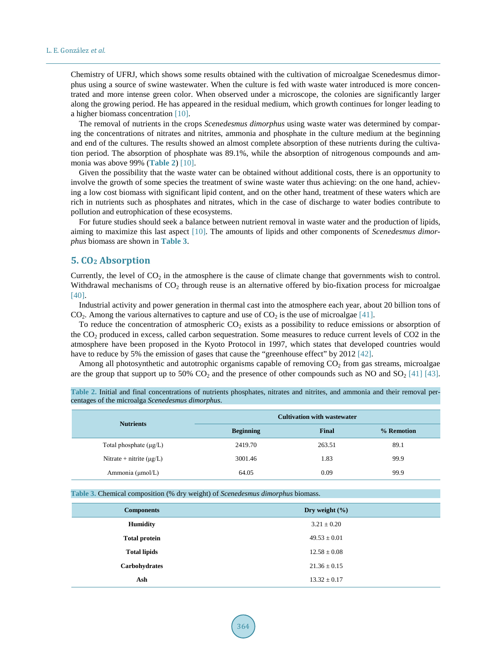Chemistry of UFRJ, which shows some results obtained with the cultivation of microalgae Scenedesmus dimorphus using a source of swine wastewater. When the culture is fed with waste water introduced is more concentrated and more intense green color. When observed under a microscope, the colonies are significantly larger along the growing period. He has appeared in the residual medium, which growth continues for longer leading to a higher biomass concentration [\[10\].](#page-9-9)

The removal of nutrients in the crops *Scenedesmus dimorphus* using waste water was determined by comparing the concentrations of nitrates and nitrites, ammonia and phosphate in the culture medium at the beginning and end of the cultures. The results showed an almost complete absorption of these nutrients during the cultivation period. The absorption of phosphate was 89.1%, while the absorption of nitrogenous compounds and ammonia was above 99% (**[Table 2](#page-6-0)**) [\[10\].](#page-9-9)

Given the possibility that the waste water can be obtained without additional costs, there is an opportunity to involve the growth of some species the treatment of swine waste water thus achieving: on the one hand, achieving a low cost biomass with significant lipid content, and on the other hand, treatment of these waters which are rich in nutrients such as phosphates and nitrates, which in the case of discharge to water bodies contribute to pollution and eutrophication of these ecosystems.

For future studies should seek a balance between nutrient removal in waste water and the production of lipids, aiming to maximize this last aspect [\[10\].](#page-9-9) The amounts of lipids and other components of *Scenedesmus dimorphus* biomass are shown in **[Table 3](#page-6-1)**.

## **5. CO2 Absorption**

Currently, the level of  $CO<sub>2</sub>$  in the atmosphere is the cause of climate change that governments wish to control. Withdrawal mechanisms of  $CO<sub>2</sub>$  through reuse is an alternative offered by bio-fixation process for microalgae [\[40\].](#page-10-15)

Industrial activity and power generation in thermal cast into the atmosphere each year, about 20 billion tons of  $CO<sub>2</sub>$ . Among the various alternatives to capture and use of  $CO<sub>2</sub>$  is the use of microalgae [\[41\].](#page-10-16)

To reduce the concentration of atmospheric  $CO<sub>2</sub>$  exists as a possibility to reduce emissions or absorption of the CO2 produced in excess, called carbon sequestration. Some measures to reduce current levels of CO2 in the atmosphere have been proposed in the Kyoto Protocol in 1997, which states that developed countries would have to reduce by 5% the emission of gases that cause the "greenhouse effect" by 2012 [\[42\].](#page-10-17)

Among all photosynthetic and autotrophic organisms capable of removing  $CO<sub>2</sub>$  from gas streams, microalgae are the group that support up to 50%  $CO_2$  and the presence of other compounds such as NO and  $SO_2$  [\[41\]](#page-10-16) [\[43\].](#page-10-18)

| <b>Nutrients</b>              | <b>Cultivation with wastewater</b> |              |            |
|-------------------------------|------------------------------------|--------------|------------|
|                               | <b>Beginning</b>                   | <b>Final</b> | % Remotion |
| Total phosphate $(\mu g/L)$   | 2419.70                            | 263.51       | 89.1       |
| Nitrate + nitrite $(\mu g/L)$ | 3001.46                            | 1.83         | 99.9       |
| Ammonia (µmol/L)              | 64.05                              | 0.09         | 99.9       |

<span id="page-6-0"></span>**Table 2.** Initial and final concentrations of nutrients phosphates, nitrates and nitrites, and ammonia and their removal percentages of the microalga *Scenedesmus dimorphus*.

<span id="page-6-1"></span>**Table 3.** Chemical composition (% dry weight) of *Scenedesmus dimorphus* biomass.

| <b>Components</b>    | Dry weight $(\% )$ |
|----------------------|--------------------|
| <b>Humidity</b>      | $3.21 \pm 0.20$    |
| <b>Total protein</b> | $49.53 \pm 0.01$   |
| <b>Total lipids</b>  | $12.58 \pm 0.08$   |
| Carbohydrates        | $21.36 \pm 0.15$   |
| Ash                  | $13.32 \pm 0.17$   |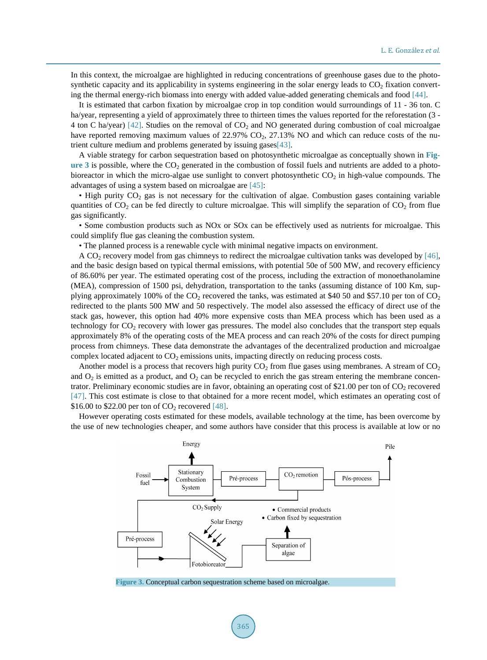In this context, the microalgae are highlighted in reducing concentrations of greenhouse gases due to the photosynthetic capacity and its applicability in systems engineering in the solar energy leads to  $CO<sub>2</sub>$  fixation converting the thermal energy-rich biomass into energy with added value-added generating chemicals and food [\[44\].](#page-10-19)

It is estimated that carbon fixation by microalgae crop in top condition would surroundings of 11 - 36 ton. C ha/year, representing a yield of approximately three to thirteen times the values reported for the reforestation (3 - 4 ton C ha/year) [\[42\].](#page-10-17) Studies on the removal of  $CO<sub>2</sub>$  and NO generated during combustion of coal microalgae have reported removing maximum values of 22.97%  $CO<sub>2</sub>$ , 27.13% NO and which can reduce costs of the nutrient culture medium and problems generated by issuing gase[s\[43\].](#page-10-18)

A viable strategy for carbon sequestration based on photosynthetic microalgae as conceptually shown in **[Fig](#page-7-0)[ure 3](#page-7-0)** is possible, where the  $CO<sub>2</sub>$  generated in the combustion of fossil fuels and nutrients are added to a photobioreactor in which the micro-algae use sunlight to convert photosynthetic  $CO<sub>2</sub>$  in high-value compounds. The advantages of using a system based on microalgae are [\[45\]:](#page-11-0)

• High purity CO<sub>2</sub> gas is not necessary for the cultivation of algae. Combustion gases containing variable quantities of  $CO_2$  can be fed directly to culture microalgae. This will simplify the separation of  $CO_2$  from flue gas significantly.

• Some combustion products such as NOx or SOx can be effectively used as nutrients for microalgae. This could simplify flue gas cleaning the combustion system.

• The planned process is a renewable cycle with minimal negative impacts on environment.

A CO<sub>2</sub> recovery model from gas chimneys to redirect the microalgae cultivation tanks was developed by [\[46\],](#page-11-1) and the basic design based on typical thermal emissions, with potential 50e of 500 MW, and recovery efficiency of 86.60% per year. The estimated operating cost of the process, including the extraction of monoethanolamine (MEA), compression of 1500 psi, dehydration, transportation to the tanks (assuming distance of 100 Km, supplying approximately 100% of the  $CO_2$  recovered the tanks, was estimated at \$40 50 and \$57.10 per ton of  $CO_2$ redirected to the plants 500 MW and 50 respectively. The model also assessed the efficacy of direct use of the stack gas, however, this option had 40% more expensive costs than MEA process which has been used as a technology for  $CO<sub>2</sub>$  recovery with lower gas pressures. The model also concludes that the transport step equals approximately 8% of the operating costs of the MEA process and can reach 20% of the costs for direct pumping process from chimneys. These data demonstrate the advantages of the decentralized production and microalgae complex located adjacent to  $CO<sub>2</sub>$  emissions units, impacting directly on reducing process costs.

Another model is a process that recovers high purity  $CO_2$  from flue gases using membranes. A stream of  $CO_2$ and  $O_2$  is emitted as a product, and  $O_2$  can be recycled to enrich the gas stream entering the membrane concentrator. Preliminary economic studies are in favor, obtaining an operating cost of \$21.00 per ton of  $CO<sub>2</sub>$  recovered [\[47\].](#page-11-2) This cost estimate is close to that obtained for a more recent model, which estimates an operating cost of \$16.00 to \$22.00 per ton of  $CO_2$  recovered [\[48\].](#page-11-3)

<span id="page-7-0"></span>However operating costs estimated for these models, available technology at the time, has been overcome by the use of new technologies cheaper, and some authors have consider that this process is available at low or no



**Figure 3.** Conceptual carbon sequestration scheme based on microalgae.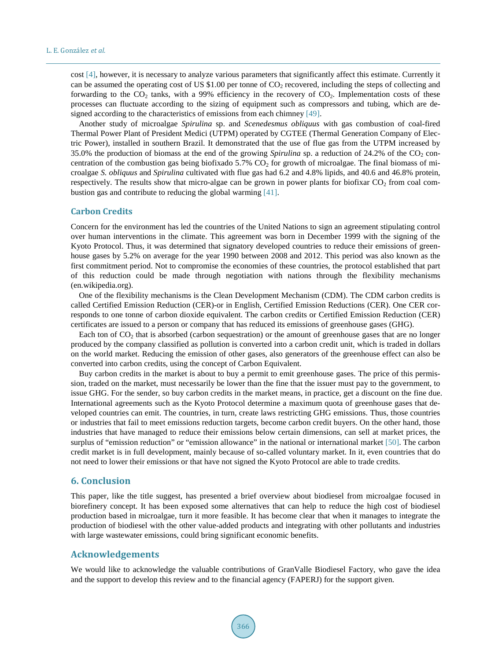cost [\[4\],](#page-9-3) however, it is necessary to analyze various parameters that significantly affect this estimate. Currently it can be assumed the operating cost of US \$1.00 per tonne of  $CO<sub>2</sub>$  recovered, including the steps of collecting and forwarding to the  $CO<sub>2</sub>$  tanks, with a 99% efficiency in the recovery of  $CO<sub>2</sub>$ . Implementation costs of these processes can fluctuate according to the sizing of equipment such as compressors and tubing, which are de-signed according to the characteristics of emissions from each chimney [\[49\].](#page-11-4)

Another study of microalgae *Spirulina* sp. and *Scenedesmus obliquus* with gas combustion of coal-fired Thermal Power Plant of President Medici (UTPM) operated by CGTEE (Thermal Generation Company of Electric Power), installed in southern Brazil. It demonstrated that the use of flue gas from the UTPM increased by 35.0% the production of biomass at the end of the growing *Spirulina* sp. a reduction of 24.2% of the CO<sub>2</sub> concentration of the combustion gas being biofixado 5.7%  $CO<sub>2</sub>$  for growth of microalgae. The final biomass of microalgae *S. obliquus* and *Spirulina* cultivated with flue gas had 6.2 and 4.8% lipids, and 40.6 and 46.8% protein, respectively. The results show that micro-algae can be grown in power plants for biofixar  $CO<sub>2</sub>$  from coal combustion gas and contribute to reducing the global warming [\[41\].](#page-10-16)

#### **Carbon Credits**

Concern for the environment has led the countries of the United Nations to sign an agreement stipulating control over human interventions in the climate. This agreement was born in December 1999 with the signing of the Kyoto Protocol. Thus, it was determined that signatory developed countries to reduce their emissions of greenhouse gases by 5.2% on average for the year 1990 between 2008 and 2012. This period was also known as the first commitment period. Not to compromise the economies of these countries, the protocol established that part of this reduction could be made through negotiation with nations through the flexibility mechanisms (en.wikipedia.org).

One of the flexibility mechanisms is the Clean Development Mechanism (CDM). The CDM carbon credits is called Certified Emission Reduction (CER)-or in English, Certified Emission Reductions (CER). One CER corresponds to one tonne of carbon dioxide equivalent. The carbon credits or Certified Emission Reduction (CER) certificates are issued to a person or company that has reduced its emissions of greenhouse gases (GHG).

Each ton of  $CO<sub>2</sub>$  that is absorbed (carbon sequestration) or the amount of greenhouse gases that are no longer produced by the company classified as pollution is converted into a carbon credit unit, which is traded in dollars on the world market. Reducing the emission of other gases, also generators of the greenhouse effect can also be converted into carbon credits, using the concept of Carbon Equivalent.

Buy carbon credits in the market is about to buy a permit to emit greenhouse gases. The price of this permission, traded on the market, must necessarily be lower than the fine that the issuer must pay to the government, to issue GHG. For the sender, so buy carbon credits in the market means, in practice, get a discount on the fine due. International agreements such as the Kyoto Protocol determine a maximum quota of greenhouse gases that developed countries can emit. The countries, in turn, create laws restricting GHG emissions. Thus, those countries or industries that fail to meet emissions reduction targets, become carbon credit buyers. On the other hand, those industries that have managed to reduce their emissions below certain dimensions, can sell at market prices, the surplus of "emission reduction" or "emission allowance" in the national or international market [\[50\].](#page-11-5) The carbon credit market is in full development, mainly because of so-called voluntary market. In it, even countries that do not need to lower their emissions or that have not signed the Kyoto Protocol are able to trade credits.

# **6. Conclusion**

This paper, like the title suggest, has presented a brief overview about biodiesel from microalgae focused in biorefinery concept. It has been exposed some alternatives that can help to reduce the high cost of biodiesel production based in microalgae, turn it more feasible. It has become clear that when it manages to integrate the production of biodiesel with the other value-added products and integrating with other pollutants and industries with large wastewater emissions, could bring significant economic benefits.

#### **Acknowledgements**

We would like to acknowledge the valuable contributions of GranValle Biodiesel Factory, who gave the idea and the support to develop this review and to the financial agency (FAPERJ) for the support given.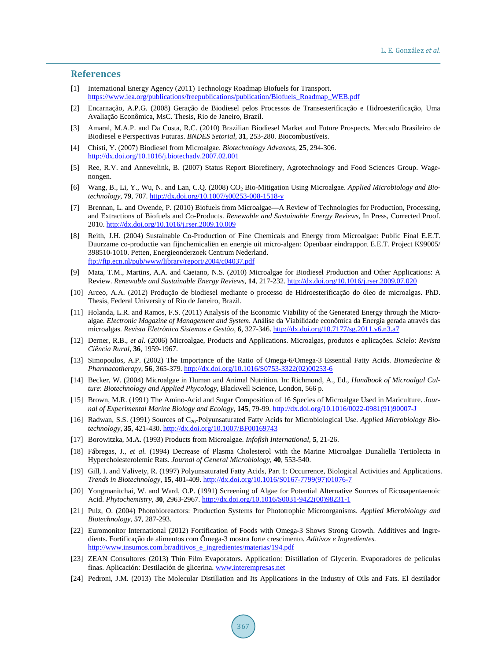#### **References**

- <span id="page-9-0"></span>[1] International Energy Agency (2011) Technology Roadmap Biofuels for Transport. [https://www.iea.org/publications/freepublications/publication/Biofuels\\_Roadmap\\_WEB.pdf](https://www.iea.org/publications/freepublications/publication/Biofuels_Roadmap_WEB.pdf)
- <span id="page-9-1"></span>[2] Encarnação, A.P.G. (2008) Geração de Biodiesel pelos Processos de Transesterificação e Hidroesterificação, Uma Avaliação Econômica, MsC. Thesis, Rio de Janeiro, Brazil.
- <span id="page-9-2"></span>[3] Amaral, M.A.P. and Da Costa, R.C. (2010) Brazilian Biodiesel Market and Future Prospects. Mercado Brasileiro de Biodiesel e Perspectivas Futuras. *BNDES Setorial*, **31**, 253-280. Biocombustíveis.
- <span id="page-9-3"></span>[4] Chisti, Y. (2007) Biodiesel from Microalgae. *Biotechnology Advances*, **25**, 294-306. <http://dx.doi.org/10.1016/j.biotechadv.2007.02.001>
- <span id="page-9-4"></span>[5] Ree, R.V. and Annevelink, B. (2007) Status Report Biorefinery, Agrotechnology and Food Sciences Group. Wagenongen.
- <span id="page-9-5"></span>[6] Wang, B., Li, Y., Wu, N. and Lan, C.Q. (2008) CO<sub>2</sub> Bio-Mitigation Using Microalgae. *Applied Microbiology and Biotechnology*, **79**, 707.<http://dx.doi.org/10.1007/s00253-008-1518-y>
- <span id="page-9-6"></span>[7] Brennan, L. and Owende, P. (2010) Biofuels from Microalgae—A Review of Technologies for Production, Processing, and Extractions of Biofuels and Co-Products. *Renewable and Sustainable Energy Reviews*, In Press, Corrected Proof. 2010. <http://dx.doi.org/10.1016/j.rser.2009.10.009>
- <span id="page-9-7"></span>[8] Reith, J.H. (2004) Sustainable Co-Production of Fine Chemicals and Energy from Microalgae: Public Final E.E.T. Duurzame co-productie van fijnchemicaliën en energie uit micro-algen: Openbaar eindrapport E.E.T. Project K99005/ 398510-1010. Petten, Energieonderzoek Centrum Nederland. <ftp://ftp.ecn.nl/pub/www/library/report/2004/c04037.pdf>
- <span id="page-9-8"></span>[9] Mata, T.M., Martins, A.A. and Caetano, N.S. (2010) Microalgae for Biodiesel Production and Other Applications: A Review. *Renewable and Sustainable Energy Reviews*, **14**, 217-232. <http://dx.doi.org/10.1016/j.rser.2009.07.020>
- <span id="page-9-9"></span>[10] Arceo, A.A. (2012) Produção de biodiesel mediante o processo de Hidroesterificação do óleo de microalgas. PhD. Thesis, Federal University of Rio de Janeiro, Brazil.
- <span id="page-9-10"></span>[11] Holanda, L.R. and Ramos, F.S. (2011) Analysis of the Economic Viability of the Generated Energy through the Microalgae. *Electronic Magazine of Management and System*. Análise da Viabilidade econômica da Energia gerada através das microalgas. *Revista Eletrônica Sistemas e Gestão*, **6**, 327-346. <http://dx.doi.org/10.7177/sg.2011.v6.n3.a7>
- <span id="page-9-11"></span>[12] Derner, R.B., *et al.* (2006) Microalgae, Products and Applications. Microalgas, produtos e aplicações. *Scielo*: *Revista Ciência Rural*, **36**, 1959-1967.
- <span id="page-9-12"></span>[13] Simopoulos, A.P. (2002) The Importance of the Ratio of Omega-6/Omega-3 Essential Fatty Acids. *Biomedecine & Pharmacotherapy*, **56**, 365-379. [http://dx.doi.org/10.1016/S0753-3322\(02\)00253-6](http://dx.doi.org/10.1016/S0753-3322(02)00253-6)
- <span id="page-9-13"></span>[14] Becker, W. (2004) Microalgae in Human and Animal Nutrition. In: Richmond, A., Ed., *Handbook of Microalgal Culture*: *Biotechnology and Applied Phycology*, Blackwell Science, London, 566 p.
- <span id="page-9-14"></span>[15] Brown, M.R. (1991) The Amino-Acid and Sugar Composition of 16 Species of Microalgae Used in Mariculture. *Journal of Experimental Marine Biology and Ecology*, **145**, 79-99[. http://dx.doi.org/10.1016/0022-0981\(91\)90007-J](http://dx.doi.org/10.1016/0022-0981(91)90007-J)
- <span id="page-9-15"></span>[16] Radwan, S.S. (1991) Sources of C<sub>20</sub>-Polyunsaturated Fatty Acids for Microbiological Use. *Applied Microbiology Biotechnology*, **35**, 421-430. <http://dx.doi.org/10.1007/BF00169743>
- <span id="page-9-22"></span>[17] Borowitzka, M.A. (1993) Products from Microalgae. *Infofish International*, **5**, 21-26.
- [18] Fábregas, J., *et al.* (1994) Decrease of Plasma Cholesterol with the Marine Microalgae Dunaliella Tertiolecta in Hypercholesterolemic Rats. *Journal of General Microbiology*, **40**, 553-540.
- <span id="page-9-16"></span>[19] Gill, I. and Valivety, R. (1997) Polyunsaturated Fatty Acids, Part 1: Occurrence, Biological Activities and Applications. *Trends in Biotechnology*, **15**, 401-409[. http://dx.doi.org/10.1016/S0167-7799\(97\)01076-7](http://dx.doi.org/10.1016/S0167-7799(97)01076-7)
- <span id="page-9-17"></span>[20] Yongmanitchai, W. and Ward, O.P. (1991) Screening of Algae for Potential Alternative Sources of Eicosapentaenoic Acid. *Phytochemistry*, **30**, 2963-2967. [http://dx.doi.org/10.1016/S0031-9422\(00\)98231-1](http://dx.doi.org/10.1016/S0031-9422(00)98231-1)
- <span id="page-9-18"></span>[21] Pulz, O. (2004) Photobioreactors: Production Systems for Phototrophic Microorganisms. *Applied Microbiology and Biotechnology*, **57**, 287-293.
- <span id="page-9-19"></span>[22] Euromonitor International (2012) Fortification of Foods with Omega-3 Shows Strong Growth. Additives and Ingredients. Fortificação de alimentos com Ômega-3 mostra forte crescimento. *Aditivos e Ingredientes.* [http://www.insumos.com.br/aditivos\\_e\\_ingredientes/materias/194.pdf](http://www.insumos.com.br/aditivos_e_ingredientes/materias/194.pdf)
- <span id="page-9-20"></span>[23] ZEAN Consultores (2013) Thin Film Evaporators. Application: Distillation of Glycerin. Evaporadores de películas finas. Aplicación: Destilación de glicerina. [www.interempresas.net](http://www.interempresas.net/)
- <span id="page-9-21"></span>[24] Pedroni, J.M. (2013) The Molecular Distillation and Its Applications in the Industry of Oils and Fats. El destilador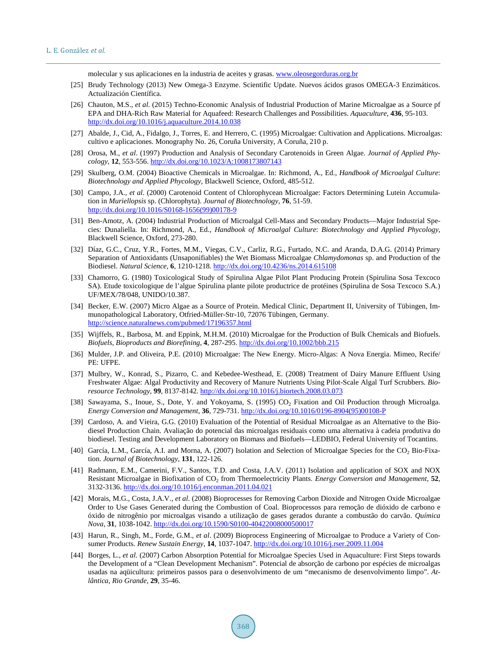molecular y sus aplicaciones en la industria de aceites y grasas[. www.oleosegorduras.org.br](http://www.oleosegorduras.org.br/)

- <span id="page-10-0"></span>[25] Brudy Technology (2013) New Omega-3 Enzyme. Scientific Update. Nuevos ácidos grasos OMEGA-3 Enzimáticos. Actualización Científica.
- <span id="page-10-1"></span>[26] Chauton, M.S., *et al.* (2015) Techno-Economic Analysis of Industrial Production of Marine Microalgae as a Source pf EPA and DHA-Rich Raw Material for Aquafeed: Research Challenges and Possibilities. *Aquaculture*, **436**, 95-103. <http://dx.doi.org/10.1016/j.aquaculture.2014.10.038>
- <span id="page-10-2"></span>[27] Abalde, J., Cid, A., Fidalgo, J., Torres, E. and Herrero, C. (1995) Microalgae: Cultivation and Applications. Microalgas: cultivo e aplicaciones. Monography No. 26, Coruña University, A Coruña, 210 p.
- <span id="page-10-3"></span>[28] Orosa, M., *et al*. (1997) Production and Analysis of Secondary Carotenoids in Green Algae. *Journal of Applied Phycology*, **12**, 553-556.<http://dx.doi.org/10.1023/A:1008173807143>
- <span id="page-10-4"></span>[29] Skulberg, O.M. (2004) Bioactive Chemicals in Microalgae. In: Richmond, A., Ed., *Handbook of Microalgal Culture*: *Biotechnology and Applied Phycology*, Blackwell Science, Oxford, 485-512.
- <span id="page-10-5"></span>[30] Campo, J.A., *et al*. (2000) Carotenoid Content of Chlorophycean Microalgae: Factors Determining Lutein Accumulation in *Muriellopsis* sp. (Chlorophyta). *Journal of Biotechnology*, **76**, 51-59. [http://dx.doi.org/10.1016/S0168-1656\(99\)00178-9](http://dx.doi.org/10.1016/S0168-1656(99)00178-9)
- <span id="page-10-6"></span>[31] Ben-Amotz, A. (2004) Industrial Production of Microalgal Cell-Mass and Secondary Products—Major Industrial Species: Dunaliella. In: Richmond, A., Ed., *Handbook of Microalgal Culture*: *Biotechnology and Applied Phycology*, Blackwell Science, Oxford, 273-280.
- <span id="page-10-7"></span>[32] Díaz, G.C., Cruz, Y.R., Fortes, M.M., Viegas, C.V., Carliz, R.G., Furtado, N.C. and Aranda, D.A.G. (2014) Primary Separation of Antioxidants (Unsaponifiables) the Wet Biomass Microalgae *Chlamydomonas* sp. and Production of the Biodiesel. *Natural Science*, **6**, 1210-1218.<http://dx.doi.org/10.4236/ns.2014.615108>
- <span id="page-10-8"></span>[33] Chamorro, G. (1980) Toxicological Study of Spirulina Algae Pilot Plant Producing Protein (Spirulina Sosa Texcoco SA). Etude toxicologique de l'algue Spirulina plante pilote productrice de protéines (Spirulina de Sosa Texcoco S.A.) UF/MEX/78/048, UNIDO/10.387.
- <span id="page-10-9"></span>[34] Becker, E.W. (2007) Micro Algae as a Source of Protein. Medical Clinic, Department II, University of Tübingen, Immunopathological Laboratory, Otfried-Müller-Str-10, 72076 Tübingen, Germany. <http://science.naturalnews.com/pubmed/17196357.html>
- <span id="page-10-10"></span>[35] Wijffels, R., Barbosa, M. and Eppink, M.H.M. (2010) Microalgae for the Production of Bulk Chemicals and Biofuels. *Biofuels*, *Bioproducts and Biorefining*, **4**, 287-295[. http://dx.doi.org/10.1002/bbb.215](http://dx.doi.org/10.1002/bbb.215)
- <span id="page-10-11"></span>[36] Mulder, J.P. and Oliveira, P.E. (2010) Microalgae: The New Energy. Micro-Algas: A Nova Energia. Mimeo, Recife/ PE: UFPE.
- <span id="page-10-12"></span>[37] Mulbry, W., Konrad, S., Pizarro, C. and Kebedee-Westhead, E. (2008) Treatment of Dairy Manure Effluent Using Freshwater Algae: Algal Productivity and Recovery of Manure Nutrients Using Pilot-Scale Algal Turf Scrubbers. *Bioresource Technology*, **99**, 8137-8142. <http://dx.doi.org/10.1016/j.biortech.2008.03.073>
- <span id="page-10-13"></span>[38] Sawayama, S., Inoue, S., Dote, Y. and Yokoyama, S. (1995) CO<sub>2</sub> Fixation and Oil Production through Microalga. *Energy Conversion and Management*, **36**, 729-731. [http://dx.doi.org/10.1016/0196-8904\(95\)00108-P](http://dx.doi.org/10.1016/0196-8904(95)00108-P)
- <span id="page-10-14"></span>[39] Cardoso, A. and Vieira, G.G. (2010) Evaluation of the Potential of Residual Microalgae as an Alternative to the Biodiesel Production Chain. Avaliação do potencial das microalgas residuais como uma alternativa à cadeia produtiva do biodiesel. Testing and Development Laboratory on Biomass and Biofuels—LEDBIO, Federal University of Tocantins.
- <span id="page-10-15"></span>[40] García, L.M., García, A.I. and Morna, A. (2007) Isolation and Selection of Microalgae Species for the CO<sub>2</sub> Bio-Fixation. *Journal of Biotechnology*, **131**, 122-126.
- <span id="page-10-16"></span>[41] Radmann, E.M., Camerini, F.V., Santos, T.D. and Costa, J.A.V. (2011) Isolation and application of SOX and NOX Resistant Microalgae in Biofixation of CO<sub>2</sub> from Thermoelectricity Plants. *Energy Conversion and Management*, **52**, 3132-3136. <http://dx.doi.org/10.1016/j.enconman.2011.04.021>
- <span id="page-10-17"></span>[42] Morais, M.G., Costa, J.A.V., *et al*. (2008) Bioprocesses for Removing Carbon Dioxide and Nitrogen Oxide Microalgae Order to Use Gases Generated during the Combustion of Coal. Bioprocessos para remoção de dióxido de carbono e óxido de nitrogênio por microalgas visando a utilização de gases gerados durante a combustão do carvão. *Química Nova*, **31**, 1038-1042.<http://dx.doi.org/10.1590/S0100-40422008000500017>
- <span id="page-10-18"></span>[43] Harun, R., Singh, M., Forde, G.M., *et al*. (2009) Bioprocess Engineering of Microalgae to Produce a Variety of Consumer Products. *Renew Sustain Energy*, **14**, 1037-1047[. http://dx.doi.org/10.1016/j.rser.2009.11.004](http://dx.doi.org/10.1016/j.rser.2009.11.004)
- <span id="page-10-19"></span>[44] Borges, L., *et al.* (2007) Carbon Absorption Potential for Microalgae Species Used in Aquaculture: First Steps towards the Development of a "Clean Development Mechanism". Potencial de absorção de carbono por espécies de microalgas usadas na aqüicultura: primeiros passos para o desenvolvimento de um "mecanismo de desenvolvimento limpo". *Atlântica*, *Rio Grande*, **29**, 35-46.